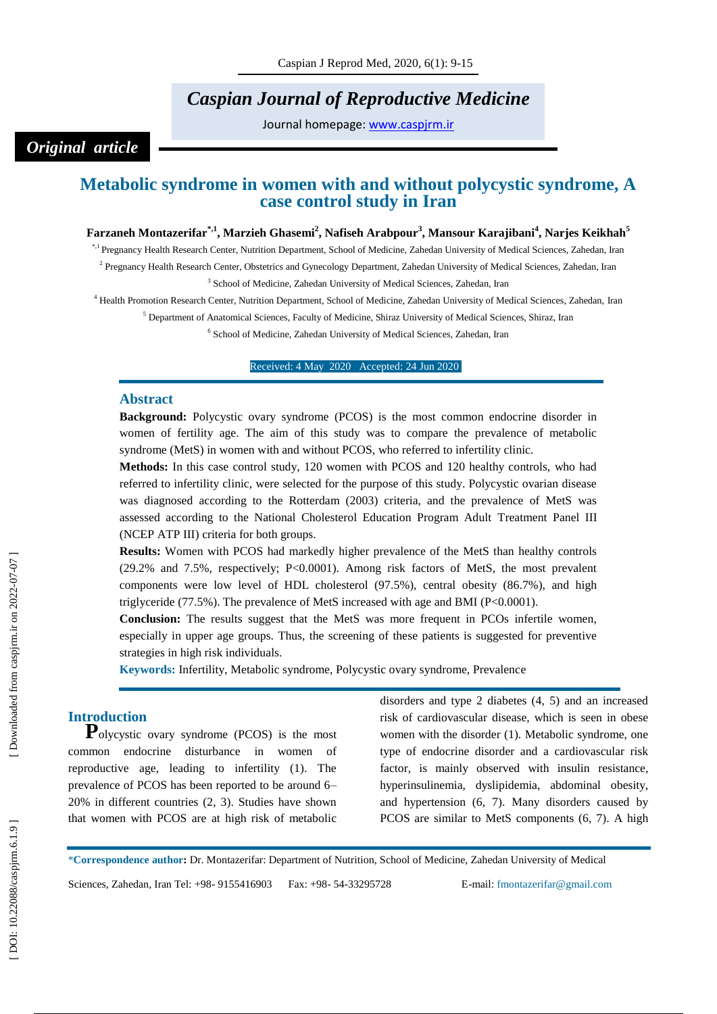# *Caspian Journal of Reproductive Medicine*

Journal homepage: [www.caspjrm.ir](http://www.caspjrm.ir/)

# *Original article*

# **Metabolic syndrome in women with and without polycystic syndrome, A case control study in Iran**

## **Farzaneh Montazerifar\*,1, Marzieh Ghasemi 2 , Nafiseh Arabpour 3 , Mansour Karajibani 4 , Narjes Keikhah 5**

\*,1 Pregnancy Health Research Center, Nutrition Department, School of Medicine, Zahedan University of Medical Sciences, Zahedan, Iran

<sup>2</sup> Pregnancy Health Research Center, Obstetrics and Gynecology Department, Zahedan University of Medical Sciences, Zahedan, Iran <sup>3</sup> School of Medicine, Zahedan University of Medical Sciences, Zahedan, Iran

<sup>4</sup> Health Promotion Research Center, Nutrition Department, School of Medicine, Zahedan University of Medical Sciences, Zahedan, Iran

<sup>5</sup> Department of Anatomical Sciences, Faculty of Medicine, Shiraz University of Medical Sciences, Shiraz, Iran

6 School of Medicine, Zahedan University of Medical Sciences, Zahedan, Iran

Received: 4 May 202 0 Accepted: 2 4 Jun 202 0 1

#### **Abstract**

**Background:** Polycystic ovary syndrome (PCOS) is the most common endocrine disorder in women of fertility age. The aim of this study was to compare the prevalence of metabolic syndrome (MetS) in women with and without PCOS, who referred to infertility clinic.

**Methods:** In this case control study, 120 women with PCOS and 120 healthy controls, who had referred to infertility clinic, were selected for the purpose of this study. Polycystic ovarian disease was diagnosed according to the Rotterdam (2003) criteria, and the prevalence of MetS was assessed according to the National Cholesterol Education Program Adult Treatment Panel III (NCEP ATP III) criteria for both groups.

**Results:** Women with PCOS had markedly higher prevalence of the MetS than healthy controls (29.2% and 7.5%, respectively; P<0.0001). Among risk factors of MetS, the most prevalent components were low level of HDL cholesterol (97.5%), central obesity (86.7%), and high triglyceride (77.5%). The prevalence of MetS increased with age and BMI (P<0.0001).

**Conclusion:** The results suggest that the MetS was more frequent in PCOs infertile women, especially in upper age groups. Thus, the screening of these patients is suggested for preventive strategies in high risk individuals.

**Keywords:** Infertility, Metabolic syndrome, Polycystic ovary syndrome, Prevalenc e

**Introduction**<br>**P**olycystic ovary syndrome (PCOS) is the most common endocrine disturbance in women of reproductive age, leading to infertility (1). The prevalence of PCOS has been reported to be around 6 – 20% in different countries (2, 3). Studies have shown that women with PCOS are at high risk of metabolic

disorders and type 2 diabetes (4, 5) and an increased risk of cardiovascular disease, which is seen in obese women with the disorder (1). Metabolic syndrome, one type of endocrine disorder and a cardiovascular risk factor, is mainly observed with insulin resistance, hyperinsulinemia, dyslipidemia, abdominal obesity, and hypertension (6, 7). Many disorders caused by PCOS are similar to MetS components (6, 7). A high

\***Correspondence author :** Dr. Montazerifar: Department of Nutrition, School of Medicine, Zahedan University of Medical

Sciences, Zahedan, Iran Tel: +98 - 9155416903 Fax: +98 - 54 -33295728 E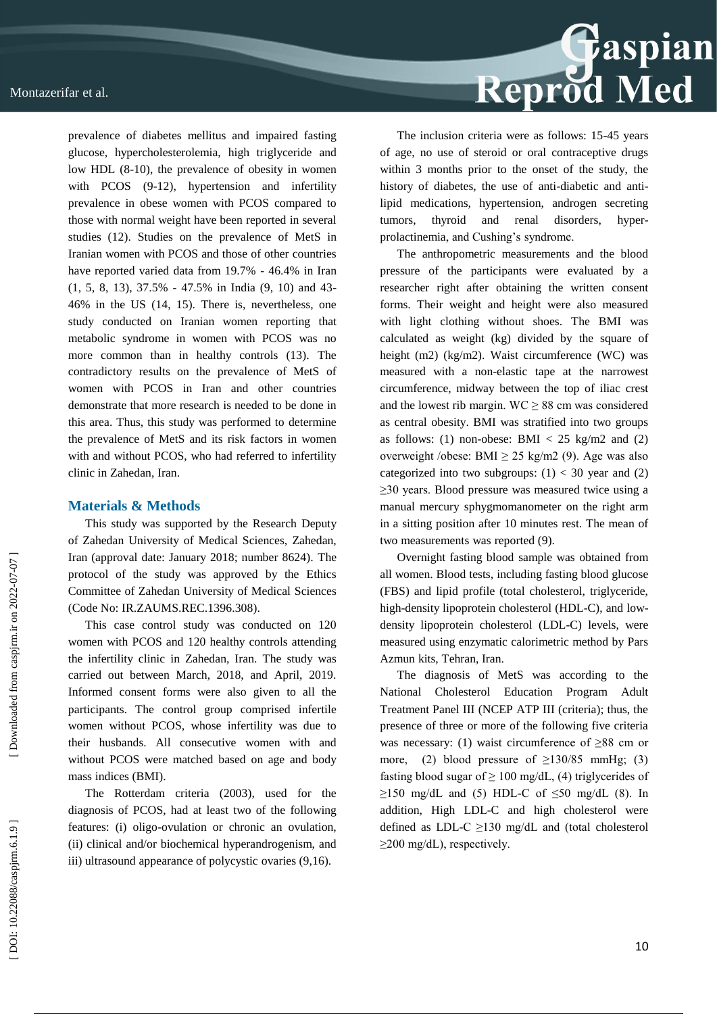prevalence of diabetes mellitus and impaired fasting glucose, hypercholesterolemia, high triglyceride and low HDL (8 -10), the prevalence of obesity in women with PCOS (9-12), hypertension and infertility prevalence in obese women with PCOS compared to those with normal weight have been reported in several studies (12). Studies on the prevalence of MetS in Iranian women with PCOS and those of other countries have reported varied data from 19.7% - 46.4% in Iran (1, 5, 8, 13), 37.5% - 47.5% in India (9, 10) and 43 - 46% in the US (14, 15). There is, nevertheless, one study conducted on Iranian women reporting that metabolic syndrome in women with PCOS was no more common than in healthy controls (13). The contradictory results on the prevalence of MetS of women with PCOS in Iran and other countries demonstrate that more research is needed to be done in this area. Thus, this study was performed to determine the prevalence of MetS and its risk factors in women with and without PCOS, who had referred to infertility clinic in Zahedan, Iran.

#### **Materials & Methods**

This study was supported by the Research Deputy of Zahedan University of Medical Sciences, Zahedan, Iran (approval date: January 2018; number 8624). The protocol of the study was approved by the Ethics Committee of Zahedan University of Medical Sciences (Code No: IR.ZAUMS.REC.1396.308).

This case control study was conducted on 120 women with PCOS and 120 healthy controls attending the infertility clinic in Zahedan, Iran. The study was carried out between March, 2018, and April, 2019. Informed consent forms were also given to all the participants. The control group comprised infertile women without PCOS, whose infertility was due to their husbands. All consecutive women with and without PCOS were matched based on age and body mass indices (BMI).

The Rotterdam criteria (2003), used for the diagnosis of PCOS, had at least two of the following features: (i) oligo -ovulation or chronic an ovulation, (ii) clinical and/or biochemical hyperandrogenism, and iii) ultrasound appearance of polycystic ovaries (9,16).



The inclusion criteria were as follows: 15 -45 years of age, no use of steroid or oral contraceptive drugs within 3 months prior to the onset of the study, the history of diabetes, the use of anti-diabetic and antilipid medications, hypertension, androgen secreting tumors, thyroid and renal disorders, hyperprolactinemi a, and Cushing's syndrome.

The anthropometric measurements and the blood pressure of the participants were evaluated by a researcher right after obtaining the written consent forms. Their weight and height were also measured with light clothing without shoes. The BMI was calculated as weight (kg) divided by the square of height (m2) (kg/m2). Waist circumference (WC) was measured with a non -elastic tape at the narrowest circumference, midway between the top of iliac crest and the lowest rib margin.  $WC \ge 88$  cm was considered as central obesity. BMI was stratified into two groups as follows: (1) non-obese: BMI  $<$  25 kg/m2 and (2) overweight /obese: BMI  $\geq$  25 kg/m2 (9). Age was also categorized into two subgroups:  $(1) < 30$  year and  $(2)$ ≥30 years. Blood pressure was measured twice using a manual mercury sphygmomanometer on the right arm in a sitting position after 10 minutes rest. The mean of two measurements was reported (9).

Overnight fasting blood sample was obtained from all women. Blood tests, including fasting blood glucose (FBS) and lipid profile (total cholesterol, triglyceride, high-density lipoprotein cholesterol (HDL-C), and lowdensity lipoprotein cholesterol (LDL -C) levels, were measured using enzymatic calorimetric method by Pars Azmun kits, Tehran, Iran.

The diagnosis of MetS was according to the National Cholesterol Education Program Adult Treatment Panel III (NCEP ATP III (criteria); thus, the presence of three or more of the following five criteria was necessary: (1) waist circumference of ≥88 cm or more, (2) blood pressure of  $\geq$ 130/85 mmHg; (3) fasting blood sugar of  $\geq 100$  mg/dL, (4) triglycerides of  $\geq$ 150 mg/dL and (5) HDL-C of  $\leq$ 50 mg/dL (8). In addition, High LDL -C and high cholesterol were defined as LDL-C  $\geq$ 130 mg/dL and (total cholesterol  $\geq$ 200 mg/dL), respectively.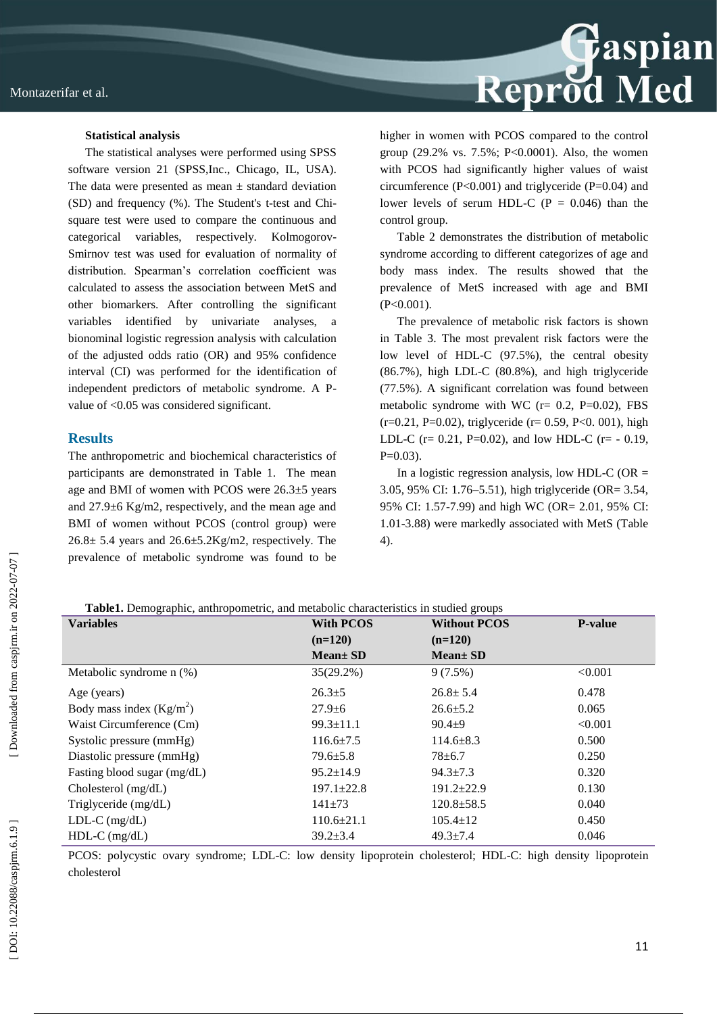

#### **Statistical analysis**

The statistical analyses were performed using SPSS software version 21 (SPSS,Inc., Chicago, IL, USA). The data were presented as mean  $\pm$  standard deviation (SD) and frequency (%). The Student's t -test and Chi square test were used to compare the continuous and categorical variables, respectively. Kolmogorov-Smirnov test was used for evaluation of normality of distribution. Spearman's correlation coefficient was calculated to assess the association between MetS and other biomarkers. After controlling the significant variables identified by univariate analyses, bionominal logistic regression analysis with calculation of the adjusted odds ratio (OR) and 95% confidence interval (CI) was performed for the identification of independent predictors of metabolic syndrome. A P value of <0.05 was considered significant.

#### **Results**

The anthropometric and biochemical characteristics of participants are demonstrated in Table 1. The mean age and BMI of women with PCOS were 26.3±5 years and 27.9±6 Kg/m2, respectively, and the mean age and BMI of women without PCOS (control group) were  $26.8 \pm 5.4$  years and  $26.6 \pm 5.2$ Kg/m2, respectively. The prevalence of metabolic syndrome was found to be higher in women with PCOS compared to the control group (29.2% vs. 7.5%; P<0.0001). Also, the women with PCOS had significantly higher values of waist circumference (P<0.001) and triglyceride (P=0.04) and lower levels of serum HDL-C ( $P = 0.046$ ) than the control group.

Table 2 demonstrates the distribution of metabolic syndrome according to different categorizes of age and body mass index. The results showed that the prevalence of MetS increased with age and BMI (P<0.001).

The prevalence of metabolic risk factors is shown in Table 3. The most prevalent risk factors were the low level of HDL -C (97.5%), the central obesity (86.7%), high LDL -C (80.8%), and high triglyceride (77.5%). A significant correlation was found between metabolic syndrome with WC  $(r= 0.2, P=0.02)$ , FBS  $(r=0.21, P=0.02)$ , triglyceride  $(r= 0.59, P<0.001)$ , high LDL-C ( $r = 0.21$ ,  $P=0.02$ ), and low HDL-C ( $r = -0.19$ ,  $P=0.03$ ).

In a logistic regression analysis, low HDL-C (OR  $=$ 3.05, 95% CI: 1.76 –5.51), high triglyceride (OR= 3.54, 95% CI: 1.57 -7.99) and high WC (OR= 2.01, 95% CI: 1.01 -3.88) were markedly associated with MetS (Table 4).

**Table1.** Demographic, anthropometric, and metabolic characteristics in studied groups

| <b>Variables</b>            | <b>With PCOS</b> | <b>Without PCOS</b> | <b>P-value</b> |
|-----------------------------|------------------|---------------------|----------------|
|                             | $(n=120)$        | $(n=120)$           |                |
|                             | <b>Mean</b> ± SD | $Mean \pm SD$       |                |
| Metabolic syndrome $n$ (%)  | 35(29.2%)        | 9(7.5%)             | < 0.001        |
| Age (years)                 | $26.3 \pm 5$     | $26.8 \pm 5.4$      | 0.478          |
| Body mass index $(Kg/m2)$   | $27.9 + 6$       | $26.6 \pm 5.2$      | 0.065          |
| Waist Circumference (Cm)    | $99.3 \pm 11.1$  | $90.4 + 9$          | < 0.001        |
| Systolic pressure (mmHg)    | $116.6 \pm 7.5$  | $114.6 \pm 8.3$     | 0.500          |
| Diastolic pressure (mmHg)   | $79.6 \pm 5.8$   | $78 + 6.7$          | 0.250          |
| Fasting blood sugar (mg/dL) | $95.2 \pm 14.9$  | $94.3 \pm 7.3$      | 0.320          |
| Cholesterol $(mg/dL)$       | $197.1 \pm 22.8$ | $191.2 \pm 22.9$    | 0.130          |
| Triglyceride (mg/dL)        | $141\pm 73$      | $120.8 \pm 58.5$    | 0.040          |
| $LDL-C$ (mg/dL)             | $110.6 \pm 21.1$ | $105.4 \pm 12$      | 0.450          |
| $HDL-C$ (mg/dL)             | $39.2 \pm 3.4$   | $49.3 \pm 7.4$      | 0.046          |

PCOS: polycystic ovary syndrome; LDL-C: low density lipoprotein cholesterol; HDL-C: high density lipoprotein cholesterol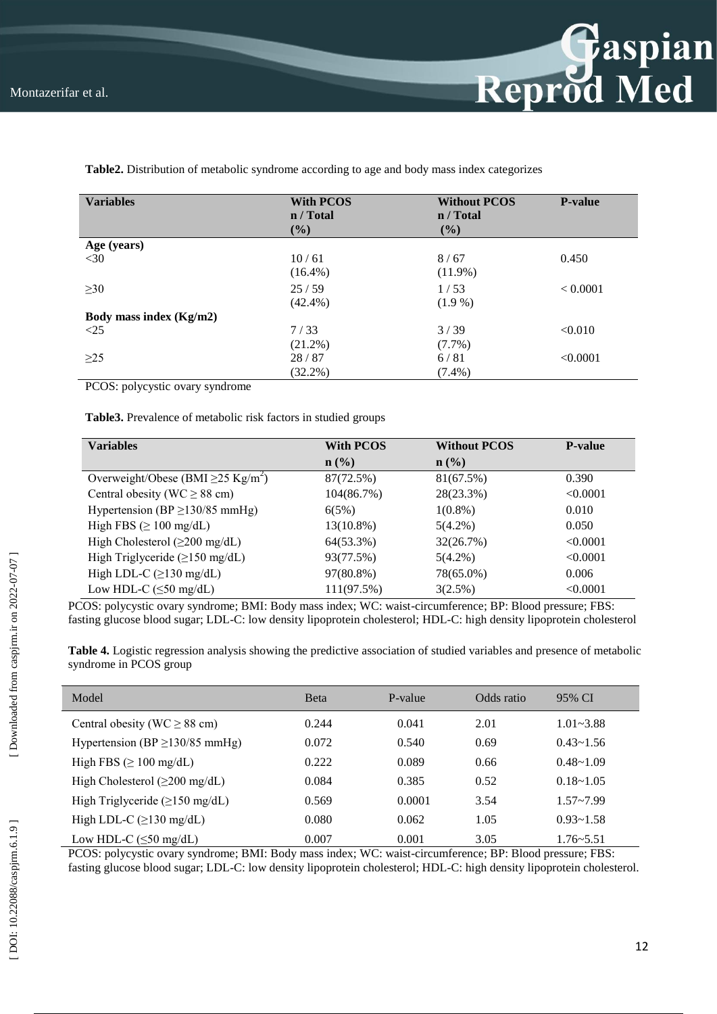

| <b>Variables</b>        | <b>With PCOS</b><br>n / Total<br>(%) | <b>Without PCOS</b><br>n / Total<br>(%) | <b>P-value</b> |
|-------------------------|--------------------------------------|-----------------------------------------|----------------|
| Age (years)             |                                      |                                         |                |
| $<$ 30                  | 10/61                                | 8/67                                    | 0.450          |
|                         | $(16.4\%)$                           | $(11.9\%)$                              |                |
| $\geq 30$               | 25/59                                | 1/53                                    | < 0.0001       |
|                         | $(42.4\%)$                           | $(1.9\%)$                               |                |
| Body mass index (Kg/m2) |                                      |                                         |                |
| $\leq$ 25               | 7/33                                 | 3/39                                    | < 0.010        |
|                         | $(21.2\%)$                           | $(7.7\%)$                               |                |
| $\geq$ 25               | 28/87                                | 6/81                                    | < 0.0001       |
|                         | $(32.2\%)$                           | $(7.4\%)$                               |                |

**Table2.** Distribution of metabolic syndrome according to age and body mass index categorizes

PCOS: polycystic ovary syndrome

**Table3.** Prevalence of metabolic risk factors in studied groups

| <b>Variables</b>                                    | <b>With PCOS</b> | <b>Without PCOS</b> | <b>P-value</b> |
|-----------------------------------------------------|------------------|---------------------|----------------|
|                                                     | $\mathbf{n}(\%)$ | $\mathbf{n}(\%)$    |                |
| Overweight/Obese (BMI $\geq$ 25 Kg/m <sup>2</sup> ) | 87(72.5%)        | 81(67.5%)           | 0.390          |
| Central obesity (WC $\geq$ 88 cm)                   | 104(86.7%)       | 28(23.3%)           | < 0.0001       |
| Hypertension (BP $\geq$ 130/85 mmHg)                | 6(5%)            | $1(0.8\%)$          | 0.010          |
| High FBS $(\geq 100 \text{ mg/dL})$                 | $13(10.8\%)$     | $5(4.2\%)$          | 0.050          |
| High Cholesterol $(\geq 200 \text{ mg/dL})$         | 64(53.3%)        | 32(26.7%)           | < 0.0001       |
| High Triglyceride $(\geq 150 \text{ mg/dL})$        | 93(77.5%)        | $5(4.2\%)$          | < 0.0001       |
| High LDL-C $(\geq 130 \text{ mg/dL})$               | 97(80.8%)        | 78(65.0%)           | 0.006          |
| Low HDL-C $(\leq 50 \text{ mg/dL})$                 | 111(97.5%)       | $3(2.5\%)$          | < 0.0001       |

PCOS: polycystic ovary syndrome; BMI: Body mass index; WC: waist -circumference; BP: Blood pressure; FBS: fasting glucose blood sugar; LDL -C: low density lipoprotein cholesterol; HDL -C: high density lipoprotein cholesterol

**Table 4.** Logistic regression analysis showing the predictive association of studied variables and presence of metabolic syndrome in PCOS group

| Model                                        | <b>B</b> eta | P-value | Odds ratio | 95% CI        |  |
|----------------------------------------------|--------------|---------|------------|---------------|--|
| Central obesity (WC $\geq$ 88 cm)            | 0.244        | 0.041   | 2.01       | $1.01 - 3.88$ |  |
| Hypertension (BP $\geq$ 130/85 mmHg)         | 0.072        | 0.540   | 0.69       | $0.43 - 1.56$ |  |
| High FBS $(\geq 100 \text{ mg/dL})$          | 0.222        | 0.089   | 0.66       | $0.48 - 1.09$ |  |
| High Cholesterol $(\geq 200 \text{ mg/dL})$  | 0.084        | 0.385   | 0.52       | $0.18 - 1.05$ |  |
| High Triglyceride $(\geq 150 \text{ mg/dL})$ | 0.569        | 0.0001  | 3.54       | $1.57 - 7.99$ |  |
| High LDL-C $(\geq 130 \text{ mg/dL})$        | 0.080        | 0.062   | 1.05       | $0.93 - 1.58$ |  |
| Low HDL-C ( $\leq$ 50 mg/dL)                 | 0.007        | 0.001   | 3.05       | $1.76 - 5.51$ |  |

PCOS: polycystic ovary syndrome; BMI: Body mass index; WC: waist -circumference; BP: Blood pressure; FBS: fasting glucose blood sugar; LDL-C: low density lipoprotein cholesterol; HDL-C: high density lipoprotein cholesterol.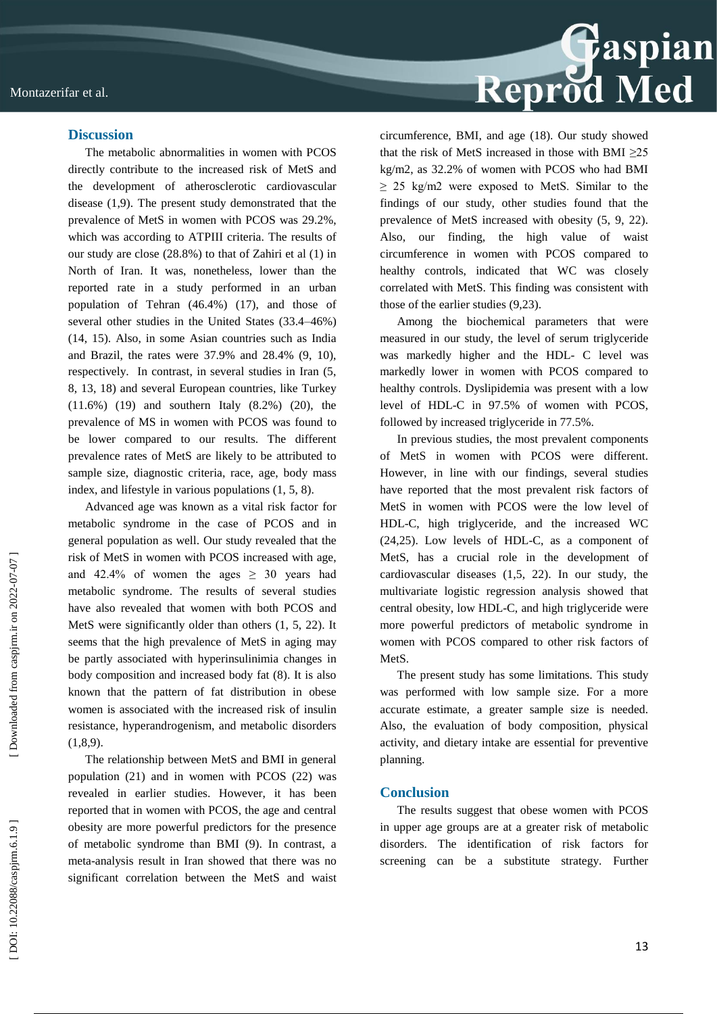

#### **Discussion**

The metabolic abnormalities in women with PCOS directly contribute to the increased risk of MetS and the development of atherosclerotic cardiovascular disease (1,9). The present study demonstrated that the prevalence of MetS in women with PCOS was 29.2%, which was according to ATPIII criteria. The results of our study are close (28.8%) to that of Zahiri et al (1) in North of Iran. It was, nonetheless, lower than the reported rate in a study performed in an urban population of Tehran (46.4%) (17), and those of several other studies in the United States (33.4 –46%) (14, 15). Also, in some Asian countries such as India and Brazil, the rates were 37.9% and 28.4% (9, 10), respectively. In contrast, in several studies in Iran (5, 8, 13, 18) and several European countries, like Turkey (11.6%) (19) and southern Italy (8.2%) (20), the prevalence of MS in women with PCOS was found to be lower compared to our results. The different prevalence rates of MetS are likely to be attributed to sample size, diagnostic criteria, race, age, body mass index, and lifestyle in various populations (1, 5, 8).

Advanced age was known as a vital risk factor for metabolic syndrome in the case of PCOS and in general population as well. Our study revealed that the risk of MetS in women with PCOS increased with age, and  $42.4\%$  of women the ages  $> 30$  years had metabolic syndrome. The results of several studies have also revealed that women with both PCOS and MetS were significantly older than others (1, 5, 22). It seems that the high prevalence of MetS in aging may be partly associated with hyperinsulinimia changes in body composition and increased body fat (8). It is also known that the pattern of fat distribution in obese women is associated with the increased risk of insulin resistance, hyperandrogenism, and metabolic disorders  $(1,8,9)$ .

The relationship between MetS and BMI in general population (21) and in women with PCOS (22) was revealed in earlier studies. However, it has been reported that in women with PCOS, the age and central obesity are more powerful predictors for the presence of metabolic syndrome than BMI (9). In contrast, a meta -analysis result in Iran showed that there was no significant correlation between the MetS and waist

circumference, BMI, and age (18). Our study showed that the risk of MetS increased in those with BMI  $\geq 25$ kg/m2, as 32.2% of women with PCOS who had BMI  $\geq$  25 kg/m2 were exposed to MetS. Similar to the findings of our study, other studies found that the prevalence of MetS increased with obesity (5, 9, 22). Also, our finding, the high value of waist circumference in women with PCOS compared to healthy controls, indicated that WC was closely correlated with MetS. This finding was consistent with those of the earlier studies (9,23).

Among the biochemical parameters that were measured in our study, the level of serum triglyceride was markedly higher and the HDL - C level was markedly lower in women with PCOS compared to healthy controls. Dyslipidemia was present with a low level of HDL -C in 97.5% of women with PCOS, followed by increased triglyceride in 77.5%.

In previous studies, the most prevalent components of MetS in women with PCOS were different. However, in line with our findings, several studies have reported that the most prevalent risk factors of MetS in women with PCOS were the low level of HDL -C, high triglyceride, and the increased WC (24,25). Low levels of HDL -C, as a component of MetS, has a crucial role in the development of cardiovascular diseases (1,5, 22). In our study, the multivariate logistic regression analysis showed that central obesity, low HDL -C, and high triglyceride were more powerful predictors of metabolic syndrome in women with PCOS compared to other risk factors of MetS.

The present study has some limitations. This study was performed with low sample size. For a more accurate estimate, a greater sample size is needed. Also, the evaluation of body composition, physical activity, and dietary intake are essential for preventive planning.

### **Conclusion**

The results suggest that obese women with PCOS in upper age groups are at a greater risk of metabolic disorders. The identification of risk factors for screening can be a substitute strategy. Further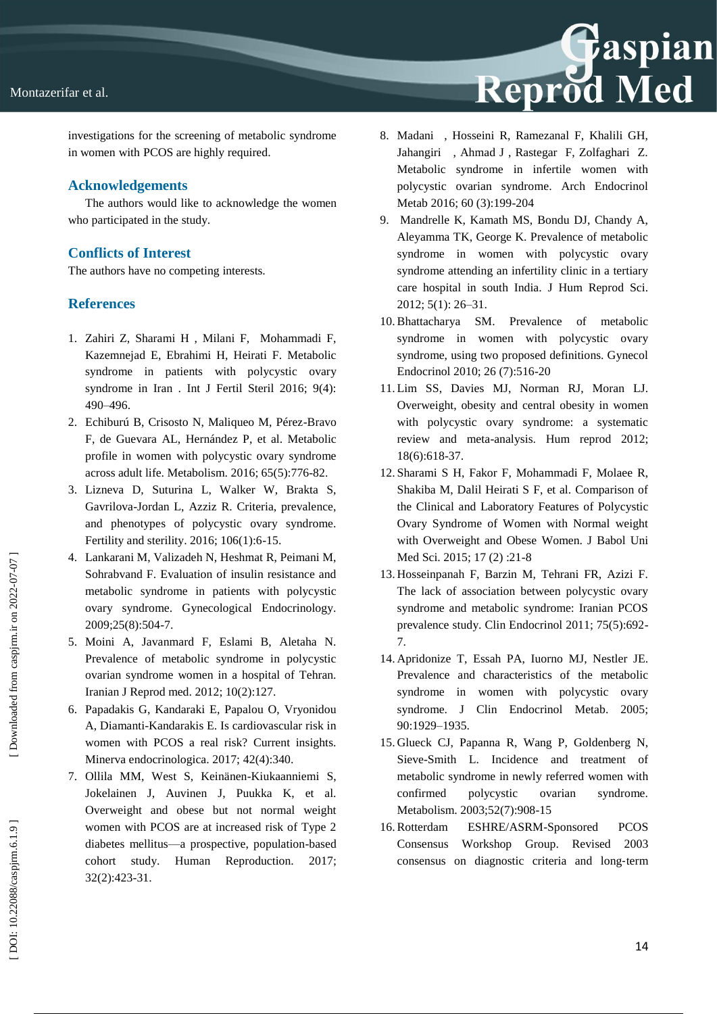

investigations for the screening of metabolic syndrome in women with PCOS are highly required.

## **Acknowledgements**

The authors would like to acknowledge the women who participated in the study.

# **Conflicts of Interest**

The authors have no competing interests.

## **References**

- 1. Zahiri Z, Sharami H , Milani F, Mohammadi F, Kazemnejad E, Ebrahimi H, Heirati F. Metabolic syndrome in patients with polycystic ovary syndrome in Iran . Int J Fertil Steril 2016; 9(4): 490 –496.
- 2. Echiburú B, Crisosto N, Maliqueo M, Pérez -Bravo F, de Guevara AL, Hernández P, et al. Metabolic profile in women with polycystic ovary syndrome across adult life. Metabolism. 2016; 65(5):776 -82.
- 3. Lizneva D, Suturina L, Walker W, Brakta S, Gavrilova -Jordan L, Azziz R. Criteria, prevalence, and phenotypes of polycystic ovary syndrome. Fertility and sterility. 2016; 106(1):6 -15.
- 4. Lankarani M, Valizadeh N, Heshmat R, Peimani M, Sohrabvand F. Evaluation of insulin resistance and metabolic syndrome in patients with polycystic ovary syndrome. Gynecological Endocrinology. 2009;25(8):504 -7.
- 5. Moini A, Javanmard F, Eslami B, Aletaha N. Prevalence of metabolic syndrome in polycystic ovarian syndrome women in a hospital of Tehran. Iranian J Reprod med. 2012; 10(2):127.
- 6. Papadakis G, Kandaraki E, Papalou O, Vryonidou A, Diamanti -Kandarakis E. Is cardiovascular risk in women with PCOS a real risk? Current insights. Minerva endocrinologica. 2017; 42(4):340.
- 7. Ollila MM, West S, Keinänen -Kiukaanniemi S, Jokelainen J, Auvinen J, Puukka K, et al. Overweight and obese but not normal weight women with PCOS are at increased risk of Type 2 diabetes mellitus —a prospective, population -based cohort study. Human Reproduction. 2017; 32(2):423 -31.
- 8. Madani , Hosseini R, Ramezanal F, Khalili GH, Jahangiri , Ahmad J , Rastegar F, Zolfaghari Z. Metabolic syndrome in infertile women with polycystic ovarian syndrome. Arch Endocrinol Metab 2016; 60 (3):199 -204
- 9. Mandrelle K, Kamath MS, Bondu DJ, Chandy A, Aleyamma TK, George K. Prevalence of metabolic syndrome in women with polycystic ovary syndrome attending an infertility clinic in a tertiary care hospital in south India. J Hum Reprod Sci. 2012; 5(1): 2 6 –31.
- 10.Bhattacharya SM. Prevalence of metabolic syndrome in women with polycystic ovary syndrome, using two proposed definitions. Gynecol Endocrinol 2010; 26 (7):516 -20
- 11. Lim SS, Davies MJ, Norman RJ, Moran LJ. Overweight, obesity and central obesity in women with polycystic ovary syndrome: a systematic review and meta -analysis. Hum reprod 2012; 18(6):618 -37.
- 12. Sharami S H, Fakor F, Mohammadi F, Molaee R, Shakiba M, Dalil Heirati S F, et al. Comparison of the Clinical and Laboratory Features of Polycystic Ovary Syndrome of Women with Normal weight with Overweight and Obese Women. J Babol Uni Med Sci. 2015; 17 (2):21-8
- 13. Hosseinpanah F, Barzin M, Tehrani FR, Azizi F. The lack of association between polycystic ovary syndrome and metabolic syndrome: Iranian PCOS prevalence study. Clin Endocrinol 2011; 75(5):692 - 7.
- 14. Apridonize T, Essah PA, Iuorno MJ, Nestler JE. Prevalence and characteristics of the metabolic syndrome in women with polycystic ovary syndrome. J Clin Endocrinol Metab. 2005; 90:1929 –1935.
- 15. Glueck CJ, Papanna R, Wang P, Goldenberg N, Sieve -Smith L. Incidence and treatment of metabolic syndrome in newly referred women with confirmed polycystic ovarian syndrome. Metabolism. 2003;52(7):908 -15
- 16.Rotterdam ESHRE/ASRM -Sponsored PCOS Consensus Workshop Group. Revised 2003 consensus on diagnostic criteria and long ‐term